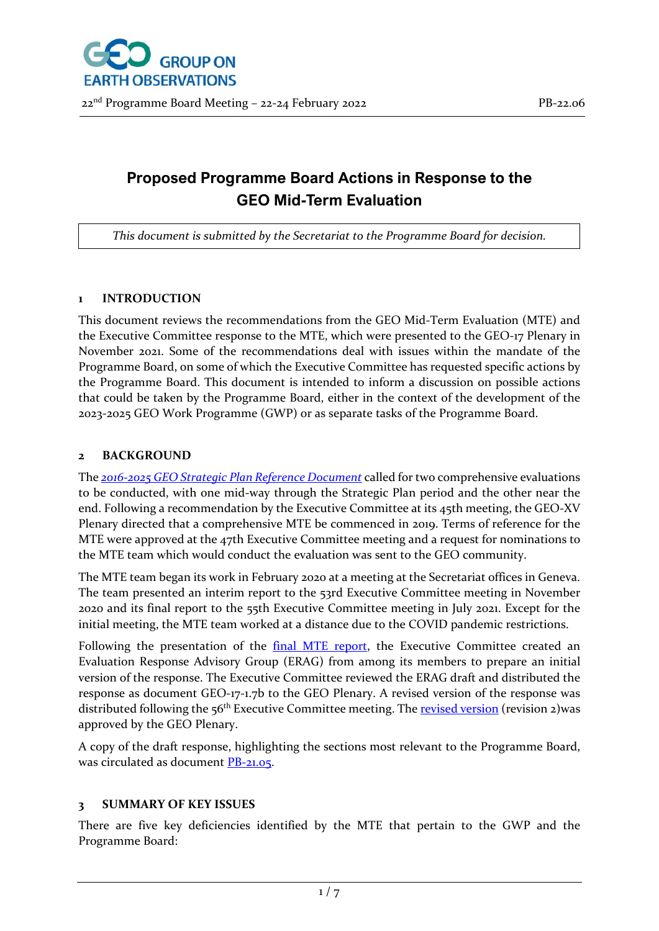# **Proposed Programme Board Actions in Response to the GEO Mid-Term Evaluation**

*This document is submitted by the Secretariat to the Programme Board for decision.*

#### **1 INTRODUCTION**

This document reviews the recommendations from the GEO Mid-Term Evaluation (MTE) and the Executive Committee response to the MTE, which were presented to the GEO-17 Plenary in November 2021. Some of the recommendations deal with issues within the mandate of the Programme Board, on some of which the Executive Committee has requested specific actions by the Programme Board. This document is intended to inform a discussion on possible actions that could be taken by the Programme Board, either in the context of the development of the 2023-2025 GEO Work Programme (GWP) or as separate tasks of the Programme Board.

#### **2 BACKGROUND**

The *[2016-2025 GEO Strategic Plan Reference Document](https://earthobservations.org/documents/GEO_Strategic_Plan_2016_2025_Implementing_GEOSS_Reference_Document.pdf)* called for two comprehensive evaluations to be conducted, with one mid-way through the Strategic Plan period and the other near the end. Following a recommendation by the Executive Committee at its 45th meeting, the GEO-XV Plenary directed that a comprehensive MTE be commenced in 2019. Terms of reference for the MTE were approved at the 47th Executive Committee meeting and a request for nominations to the MTE team which would conduct the evaluation was sent to the GEO community.

The MTE team began its work in February 2020 at a meeting at the Secretariat offices in Geneva. The team presented an interim report to the 53rd Executive Committee meeting in November 2020 and its final report to the 55th Executive Committee meeting in July 2021. Except for the initial meeting, the MTE team worked at a distance due to the COVID pandemic restrictions.

Following the presentation of the **final MTE report**, the Executive Committee created an Evaluation Response Advisory Group (ERAG) from among its members to prepare an initial version of the response. The Executive Committee reviewed the ERAG draft and distributed the response as document GEO-17-1.7b to the GEO Plenary. A revised version of the response was distributed following the 56<sup>th</sup> Executive Committee meeting. The [revised version](https://earthobservations.org/documents/geoweek2021/GEO-17-1.7b%20(Rev2)_Executive%20Committee%20Response%20to%20the%202021%20GEO%20Mid-Term%20Evaluation%20Report.pdf) (revision 2)was approved by the GEO Plenary.

A copy of the draft response, highlighting the sections most relevant to the Programme Board, was circulated as document [PB-21.05.](https://earthobservations.org/documents/pb/me_202109/PB-21-05_Summary%20of%20MTE%20Findings%20Related%20to%20the%20GWP.pdf)

#### **3 SUMMARY OF KEY ISSUES**

There are five key deficiencies identified by the MTE that pertain to the GWP and the Programme Board: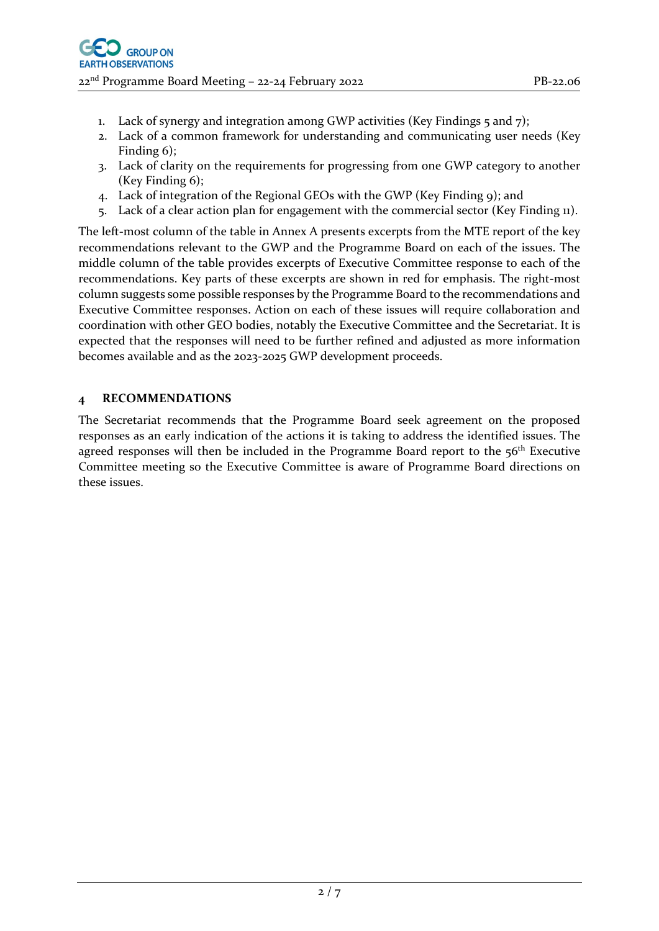- 1. Lack of synergy and integration among GWP activities (Key Findings  $\zeta$  and  $\zeta$ );
- 2. Lack of a common framework for understanding and communicating user needs (Key Finding 6);
- 3. Lack of clarity on the requirements for progressing from one GWP category to another (Key Finding 6);
- 4. Lack of integration of the Regional GEOs with the GWP (Key Finding 9); and
- 5. Lack of a clear action plan for engagement with the commercial sector (Key Finding 11).

The left-most column of the table in Annex A presents excerpts from the MTE report of the key recommendations relevant to the GWP and the Programme Board on each of the issues. The middle column of the table provides excerpts of Executive Committee response to each of the recommendations. Key parts of these excerpts are shown in red for emphasis. The right-most column suggests some possible responses by the Programme Board to the recommendations and Executive Committee responses. Action on each of these issues will require collaboration and coordination with other GEO bodies, notably the Executive Committee and the Secretariat. It is expected that the responses will need to be further refined and adjusted as more information becomes available and as the 2023-2025 GWP development proceeds.

## **4 RECOMMENDATIONS**

The Secretariat recommends that the Programme Board seek agreement on the proposed responses as an early indication of the actions it is taking to address the identified issues. The agreed responses will then be included in the Programme Board report to the  $56<sup>th</sup>$  Executive Committee meeting so the Executive Committee is aware of Programme Board directions on these issues.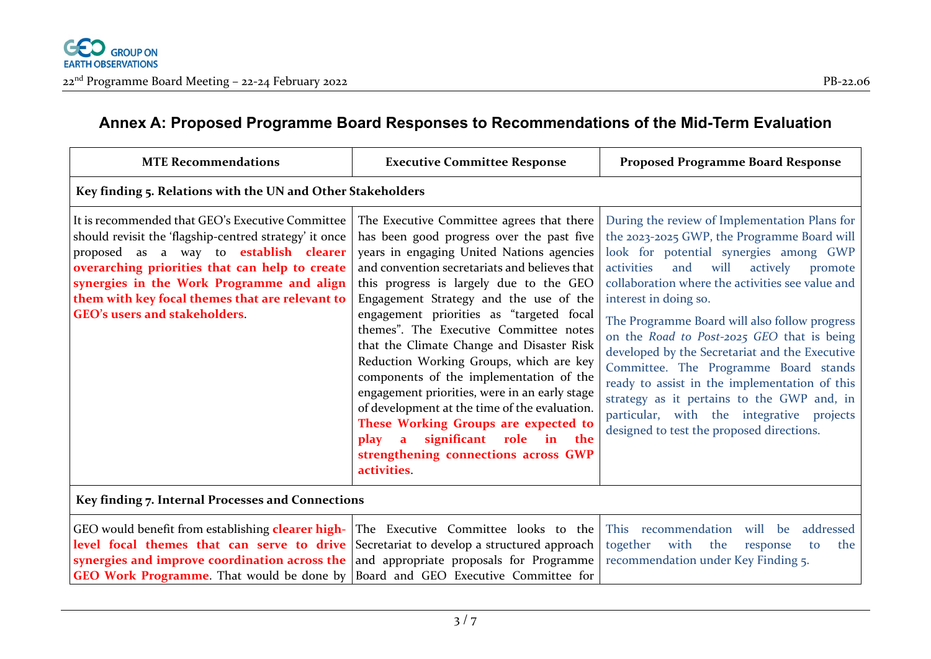## **Annex A: Proposed Programme Board Responses to Recommendations of the Mid-Term Evaluation**

| <b>MTE Recommendations</b>                                                                                                                                                                                                                                                                                                                                                             | <b>Executive Committee Response</b>                                                                                                                                                                                                                                                                                                                                                                                                                                                                                                                                                                                                                                                                                                                    | <b>Proposed Programme Board Response</b>                                                                                                                                                                                                                                                                                                                                                                                                                                                                                                                                                                                                                   |
|----------------------------------------------------------------------------------------------------------------------------------------------------------------------------------------------------------------------------------------------------------------------------------------------------------------------------------------------------------------------------------------|--------------------------------------------------------------------------------------------------------------------------------------------------------------------------------------------------------------------------------------------------------------------------------------------------------------------------------------------------------------------------------------------------------------------------------------------------------------------------------------------------------------------------------------------------------------------------------------------------------------------------------------------------------------------------------------------------------------------------------------------------------|------------------------------------------------------------------------------------------------------------------------------------------------------------------------------------------------------------------------------------------------------------------------------------------------------------------------------------------------------------------------------------------------------------------------------------------------------------------------------------------------------------------------------------------------------------------------------------------------------------------------------------------------------------|
| Key finding 5. Relations with the UN and Other Stakeholders                                                                                                                                                                                                                                                                                                                            |                                                                                                                                                                                                                                                                                                                                                                                                                                                                                                                                                                                                                                                                                                                                                        |                                                                                                                                                                                                                                                                                                                                                                                                                                                                                                                                                                                                                                                            |
| It is recommended that GEO's Executive Committee<br>should revisit the 'flagship-centred strategy' it once<br>proposed as a way to <b>establish clearer</b><br>overarching priorities that can help to create<br>synergies in the Work Programme and align<br>them with key focal themes that are relevant to<br>GEO's users and stakeholders.                                         | The Executive Committee agrees that there<br>has been good progress over the past five<br>years in engaging United Nations agencies<br>and convention secretariats and believes that<br>this progress is largely due to the GEO<br>Engagement Strategy and the use of the<br>engagement priorities as "targeted focal<br>themes". The Executive Committee notes<br>that the Climate Change and Disaster Risk<br>Reduction Working Groups, which are key<br>components of the implementation of the<br>engagement priorities, were in an early stage<br>of development at the time of the evaluation.<br>These Working Groups are expected to<br>significant role in the<br>$\mathbf{a}$<br>play<br>strengthening connections across GWP<br>activities. | During the review of Implementation Plans for<br>the 2023-2025 GWP, the Programme Board will<br>look for potential synergies among GWP<br>will<br>activities<br>and<br>actively<br>promote<br>collaboration where the activities see value and<br>interest in doing so.<br>The Programme Board will also follow progress<br>on the Road to Post-2025 GEO that is being<br>developed by the Secretariat and the Executive<br>Committee. The Programme Board stands<br>ready to assist in the implementation of this<br>strategy as it pertains to the GWP and, in<br>particular, with the integrative projects<br>designed to test the proposed directions. |
| Key finding 7. Internal Processes and Connections                                                                                                                                                                                                                                                                                                                                      |                                                                                                                                                                                                                                                                                                                                                                                                                                                                                                                                                                                                                                                                                                                                                        |                                                                                                                                                                                                                                                                                                                                                                                                                                                                                                                                                                                                                                                            |
| GEO would benefit from establishing <b>clearer high-</b> The Executive Committee looks to the<br><b>level focal themes that can serve to drive</b> Secretariat to develop a structured approach<br>synergies and improve coordination across the $ $ and appropriate proposals for Programme<br><b>GEO Work Programme.</b> That would be done by Board and GEO Executive Committee for |                                                                                                                                                                                                                                                                                                                                                                                                                                                                                                                                                                                                                                                                                                                                                        | This recommendation will be<br>addressed<br>together<br>with<br>the<br>the<br>response<br>to<br>recommendation under Key Finding 5.                                                                                                                                                                                                                                                                                                                                                                                                                                                                                                                        |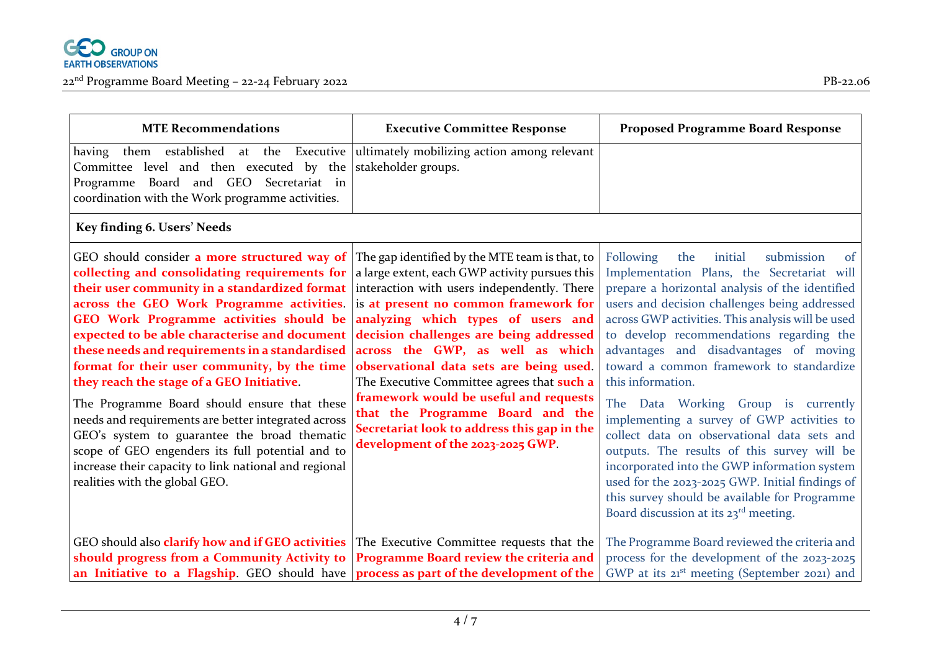

| <b>MTE Recommendations</b>                                                                                                                                                                                                                         | <b>Executive Committee Response</b> | <b>Proposed Programme Board Response</b> |
|----------------------------------------------------------------------------------------------------------------------------------------------------------------------------------------------------------------------------------------------------|-------------------------------------|------------------------------------------|
| having them established at the Executive ultimately mobilizing action among relevant<br>Committee level and then executed by the stakeholder groups.<br>Programme Board and GEO Secretariat in<br>coordination with the Work programme activities. |                                     |                                          |
|                                                                                                                                                                                                                                                    |                                     |                                          |

### **Key finding 6. Users' Needs**

| GEO should consider <b>a more structured way of</b> The gap identified by the MTE team is that, to<br>collecting and consolidating requirements for $ a $ large extent, each GWP activity pursues this<br><b>their user community in a standardized format</b> interaction with users independently. There<br>across the GEO Work Programme activities. is at present no common framework for<br>GEO Work Programme activities should be analyzing which types of users and<br>expected to be able characterise and document decision challenges are being addressed<br>these needs and requirements in a standardised across the GWP, as well as which<br>format for their user community, by the time observational data sets are being used.<br>they reach the stage of a GEO Initiative.<br>The Programme Board should ensure that these<br>needs and requirements are better integrated across<br>GEO's system to guarantee the broad thematic<br>scope of GEO engenders its full potential and to<br>increase their capacity to link national and regional<br>realities with the global GEO. | The Executive Committee agrees that such a<br>framework would be useful and requests<br>that the Programme Board and the<br>Secretariat look to address this gap in the<br>development of the 2023-2025 GWP. | Following<br>the<br>initial<br>submission<br>of<br>Implementation Plans, the Secretariat will<br>prepare a horizontal analysis of the identified<br>users and decision challenges being addressed<br>across GWP activities. This analysis will be used<br>to develop recommendations regarding the<br>advantages and disadvantages of moving<br>toward a common framework to standardize<br>this information.<br>The Data Working Group is currently<br>implementing a survey of GWP activities to<br>collect data on observational data sets and<br>outputs. The results of this survey will be<br>incorporated into the GWP information system<br>used for the 2023-2025 GWP. Initial findings of<br>this survey should be available for Programme<br>Board discussion at its 23 <sup>rd</sup> meeting. |
|----------------------------------------------------------------------------------------------------------------------------------------------------------------------------------------------------------------------------------------------------------------------------------------------------------------------------------------------------------------------------------------------------------------------------------------------------------------------------------------------------------------------------------------------------------------------------------------------------------------------------------------------------------------------------------------------------------------------------------------------------------------------------------------------------------------------------------------------------------------------------------------------------------------------------------------------------------------------------------------------------------------------------------------------------------------------------------------------------|--------------------------------------------------------------------------------------------------------------------------------------------------------------------------------------------------------------|-----------------------------------------------------------------------------------------------------------------------------------------------------------------------------------------------------------------------------------------------------------------------------------------------------------------------------------------------------------------------------------------------------------------------------------------------------------------------------------------------------------------------------------------------------------------------------------------------------------------------------------------------------------------------------------------------------------------------------------------------------------------------------------------------------------|
| GEO should also clarify how and if GEO activities The Executive Committee requests that the<br>should progress from a Community Activity to   Programme Board review the criteria and<br>an Initiative to a Flagship. GEO should have process as part of the development of the                                                                                                                                                                                                                                                                                                                                                                                                                                                                                                                                                                                                                                                                                                                                                                                                                    |                                                                                                                                                                                                              | The Programme Board reviewed the criteria and<br>process for the development of the 2023-2025<br>GWP at its 21 <sup>st</sup> meeting (September 2021) and                                                                                                                                                                                                                                                                                                                                                                                                                                                                                                                                                                                                                                                 |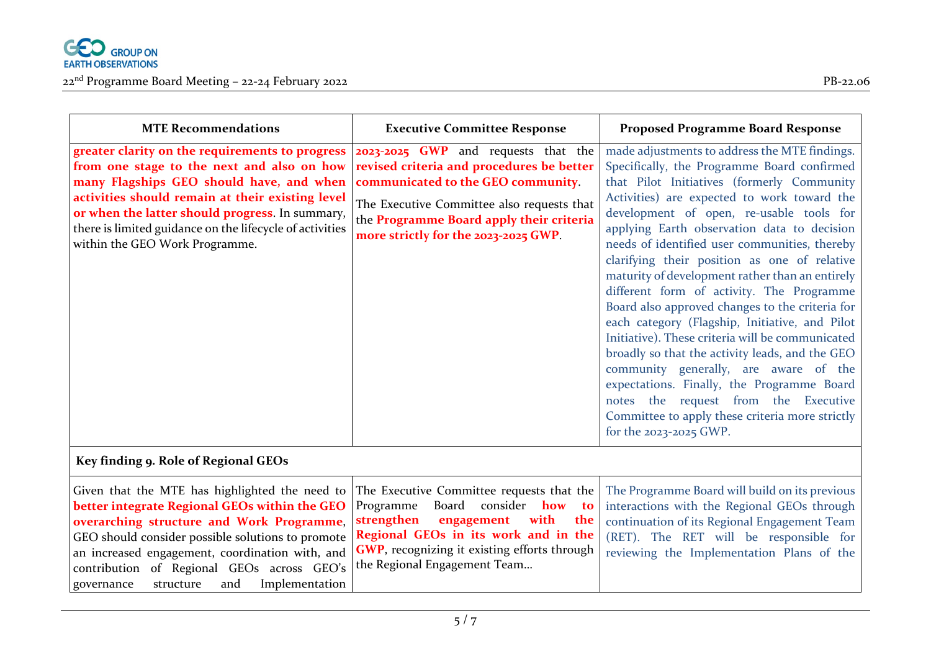

| Given that the MTE has highlighted the need to The Executive Committee requests that the The Programme Board will build on its previous                |  |
|--------------------------------------------------------------------------------------------------------------------------------------------------------|--|
| <b>better integrate Regional GEOs within the GEO</b> Programme Board consider how to interactions with the Regional GEOs through                       |  |
| <b>overarching structure and Work Programme, strengthen engagement with the</b> continuation of its Regional Engagement Team                           |  |
| GEO should consider possible solutions to promote <b>Regional GEOs in its work and in the</b> (RET). The RET will be responsible for                   |  |
| an increased engagement, coordination with, and $\vert$ GWP, recognizing it existing efforts through $\vert$ reviewing the Implementation Plans of the |  |
| contribution of Regional GEOs across GEO's the Regional Engagement Team                                                                                |  |
| governance structure and Implementation                                                                                                                |  |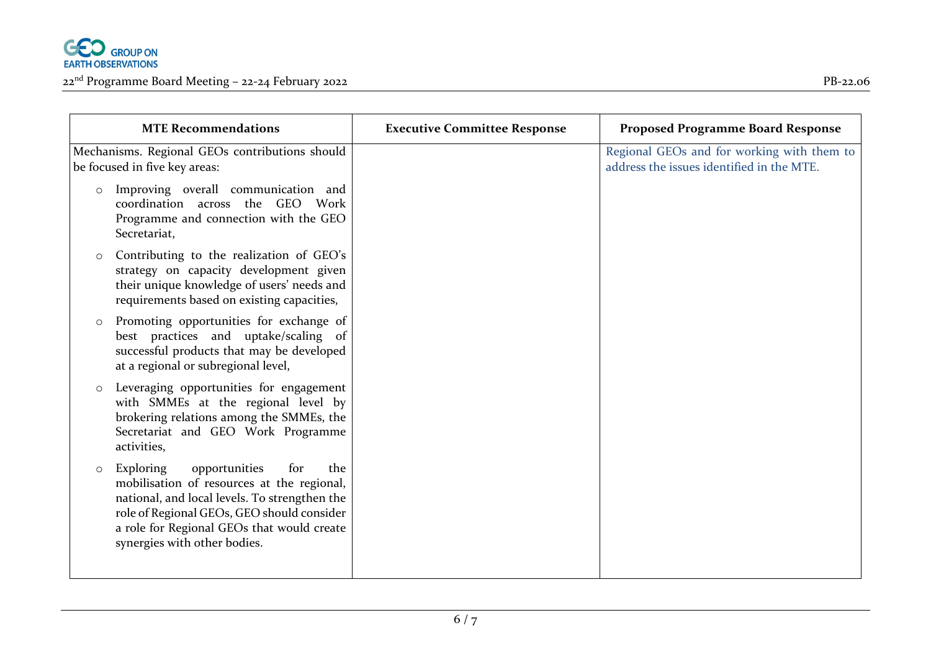

| <b>MTE Recommendations</b>                                                                                                                                                                                                                                                     | <b>Executive Committee Response</b> | <b>Proposed Programme Board Response</b>                                                |
|--------------------------------------------------------------------------------------------------------------------------------------------------------------------------------------------------------------------------------------------------------------------------------|-------------------------------------|-----------------------------------------------------------------------------------------|
| Mechanisms. Regional GEOs contributions should<br>be focused in five key areas:                                                                                                                                                                                                |                                     | Regional GEOs and for working with them to<br>address the issues identified in the MTE. |
| Improving overall communication and<br>$\circ$<br>coordination across the GEO Work<br>Programme and connection with the GEO<br>Secretariat,                                                                                                                                    |                                     |                                                                                         |
| Contributing to the realization of GEO's<br>$\circ$<br>strategy on capacity development given<br>their unique knowledge of users' needs and<br>requirements based on existing capacities,                                                                                      |                                     |                                                                                         |
| Promoting opportunities for exchange of<br>$\circ$<br>best practices and uptake/scaling of<br>successful products that may be developed<br>at a regional or subregional level,                                                                                                 |                                     |                                                                                         |
| Leveraging opportunities for engagement<br>$\circ$<br>with SMMEs at the regional level by<br>brokering relations among the SMMEs, the<br>Secretariat and GEO Work Programme<br>activities,                                                                                     |                                     |                                                                                         |
| opportunities<br>Exploring<br>the<br>for<br>$\circ$<br>mobilisation of resources at the regional,<br>national, and local levels. To strengthen the<br>role of Regional GEOs, GEO should consider<br>a role for Regional GEOs that would create<br>synergies with other bodies. |                                     |                                                                                         |